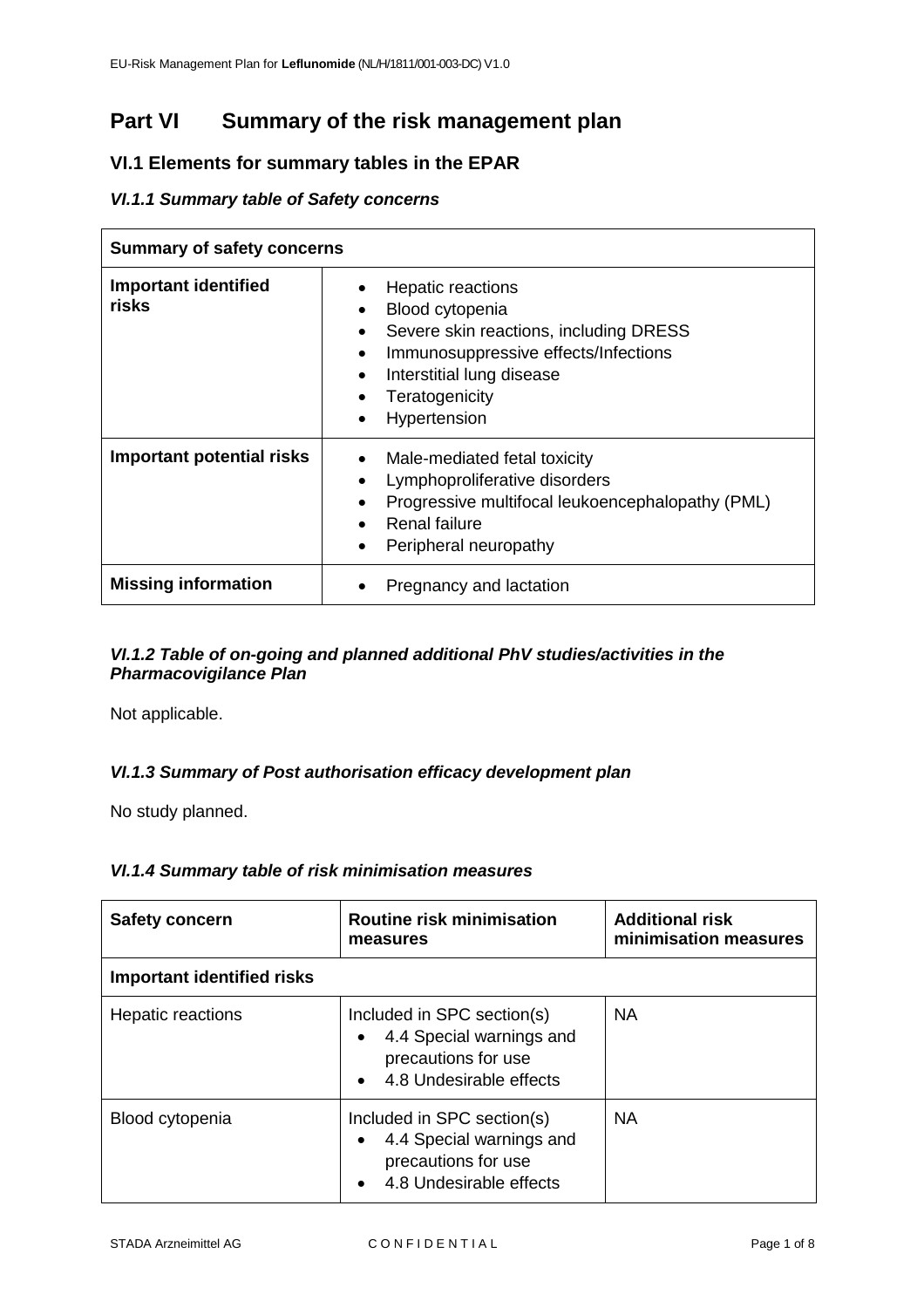# **Part VI Summary of the risk management plan**

### **VI.1 Elements for summary tables in the EPAR**

#### *VI.1.1 Summary table of Safety concerns*

| <b>Summary of safety concerns</b>    |                                                                                                                                                                                                                                                  |
|--------------------------------------|--------------------------------------------------------------------------------------------------------------------------------------------------------------------------------------------------------------------------------------------------|
| <b>Important identified</b><br>risks | <b>Hepatic reactions</b><br>Blood cytopenia<br>$\bullet$<br>Severe skin reactions, including DRESS<br>$\bullet$<br>Immunosuppressive effects/Infections<br>$\bullet$<br>Interstitial lung disease<br>Teratogenicity<br>Hypertension<br>$\bullet$ |
| Important potential risks            | Male-mediated fetal toxicity<br>$\bullet$<br>Lymphoproliferative disorders<br>٠<br>Progressive multifocal leukoencephalopathy (PML)<br>٠<br><b>Renal failure</b><br>Peripheral neuropathy                                                        |
| <b>Missing information</b>           | Pregnancy and lactation                                                                                                                                                                                                                          |

#### *VI.1.2 Table of on-going and planned additional PhV studies/activities in the Pharmacovigilance Plan*

Not applicable.

### *VI.1.3 Summary of Post authorisation efficacy development plan*

No study planned.

#### *VI.1.4 Summary table of risk minimisation measures*

| <b>Safety concern</b>             | <b>Routine risk minimisation</b><br>measures                                                             | <b>Additional risk</b><br>minimisation measures |
|-----------------------------------|----------------------------------------------------------------------------------------------------------|-------------------------------------------------|
| <b>Important identified risks</b> |                                                                                                          |                                                 |
| Hepatic reactions                 | Included in SPC section(s)<br>4.4 Special warnings and<br>precautions for use<br>4.8 Undesirable effects | <b>NA</b>                                       |
| Blood cytopenia                   | Included in SPC section(s)<br>4.4 Special warnings and<br>precautions for use<br>4.8 Undesirable effects | <b>NA</b>                                       |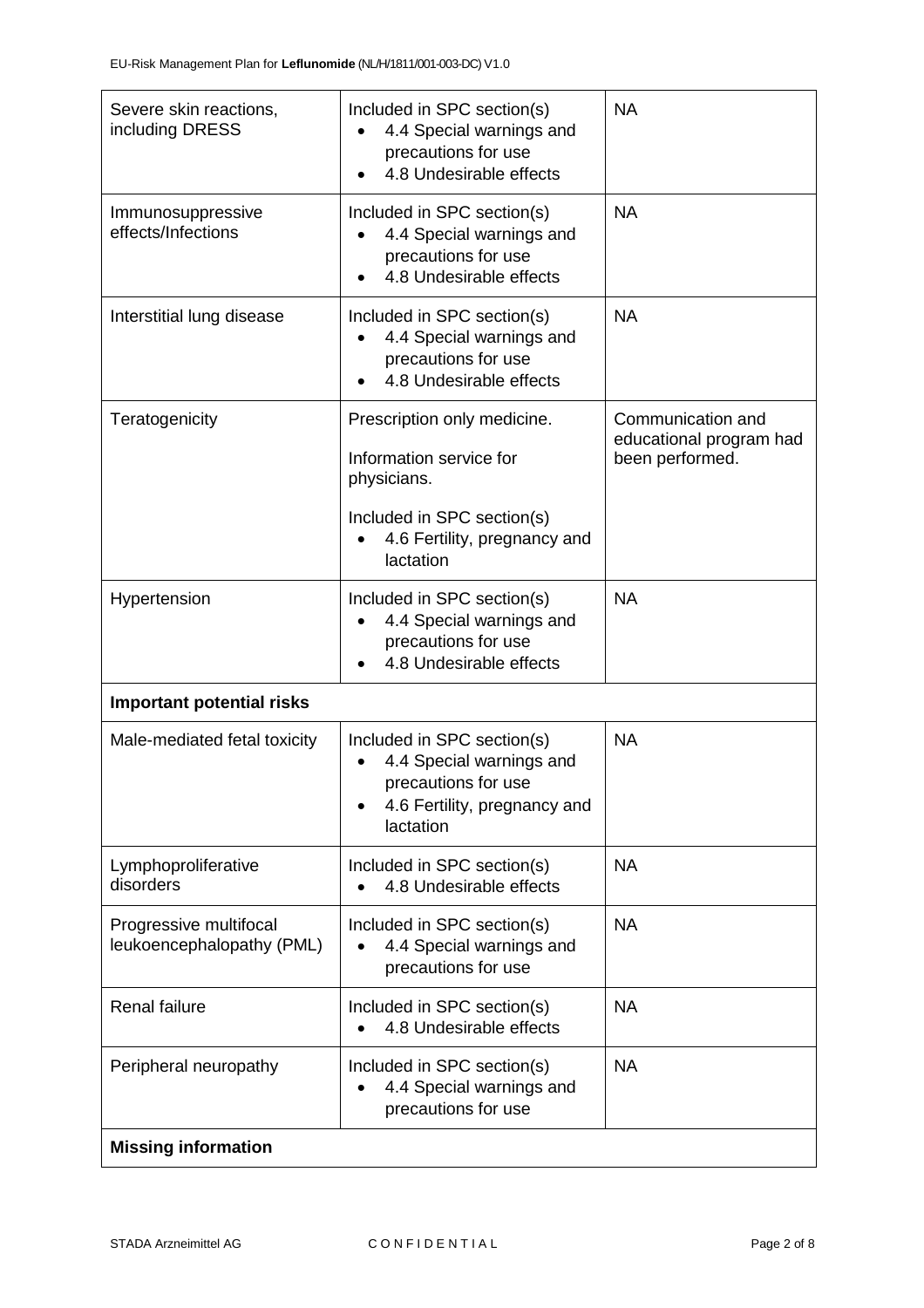| Severe skin reactions,<br>including DRESS           | Included in SPC section(s)<br>4.4 Special warnings and<br>precautions for use<br>4.8 Undesirable effects                            | <b>NA</b>                                                       |
|-----------------------------------------------------|-------------------------------------------------------------------------------------------------------------------------------------|-----------------------------------------------------------------|
| Immunosuppressive<br>effects/Infections             | Included in SPC section(s)<br>4.4 Special warnings and<br>precautions for use<br>4.8 Undesirable effects                            | <b>NA</b>                                                       |
| Interstitial lung disease                           | Included in SPC section(s)<br>4.4 Special warnings and<br>precautions for use<br>4.8 Undesirable effects                            | <b>NA</b>                                                       |
| Teratogenicity                                      | Prescription only medicine.<br>Information service for<br>physicians.<br>Included in SPC section(s)<br>4.6 Fertility, pregnancy and | Communication and<br>educational program had<br>been performed. |
| Hypertension                                        | lactation<br>Included in SPC section(s)<br>4.4 Special warnings and<br>precautions for use<br>4.8 Undesirable effects               | <b>NA</b>                                                       |
| <b>Important potential risks</b>                    |                                                                                                                                     |                                                                 |
| Male-mediated fetal toxicity                        | Included in SPC section(s)<br>4.4 Special warnings and<br>precautions for use<br>4.6 Fertility, pregnancy and<br>lactation          | <b>NA</b>                                                       |
| Lymphoproliferative<br>disorders                    | Included in SPC section(s)<br>4.8 Undesirable effects                                                                               | <b>NA</b>                                                       |
| Progressive multifocal<br>leukoencephalopathy (PML) | Included in SPC section(s)<br>4.4 Special warnings and<br>precautions for use                                                       | <b>NA</b>                                                       |
| Renal failure                                       | Included in SPC section(s)<br>4.8 Undesirable effects                                                                               | <b>NA</b>                                                       |
| Peripheral neuropathy                               | Included in SPC section(s)<br>4.4 Special warnings and<br>precautions for use                                                       | <b>NA</b>                                                       |
| <b>Missing information</b>                          |                                                                                                                                     |                                                                 |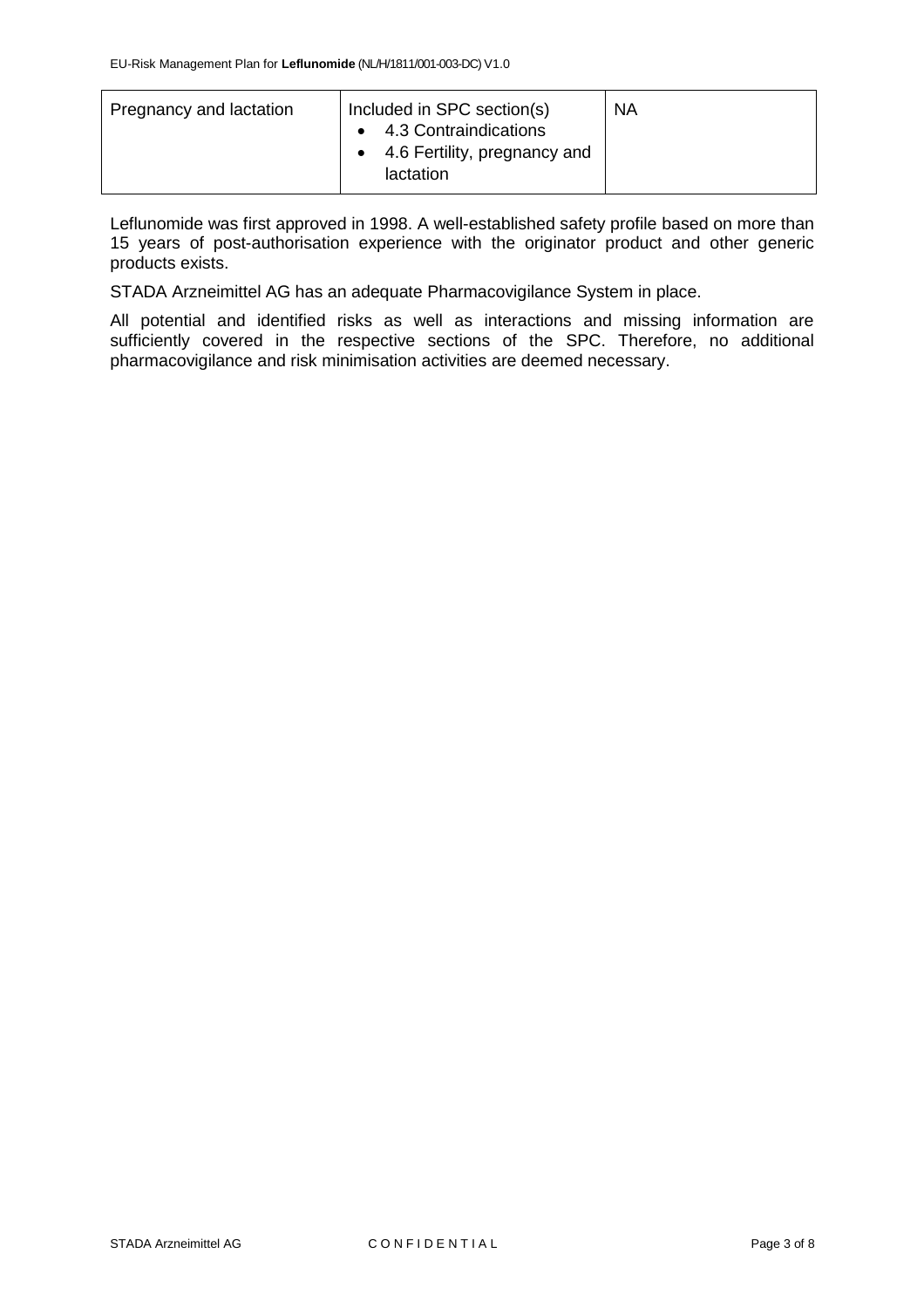| Pregnancy and lactation | Included in SPC section(s)<br>4.3 Contraindications<br>4.6 Fertility, pregnancy and<br>lactation | <b>NA</b> |
|-------------------------|--------------------------------------------------------------------------------------------------|-----------|
|                         |                                                                                                  |           |

Leflunomide was first approved in 1998. A well-established safety profile based on more than 15 years of post-authorisation experience with the originator product and other generic products exists.

STADA Arzneimittel AG has an adequate Pharmacovigilance System in place.

All potential and identified risks as well as interactions and missing information are sufficiently covered in the respective sections of the SPC. Therefore, no additional pharmacovigilance and risk minimisation activities are deemed necessary.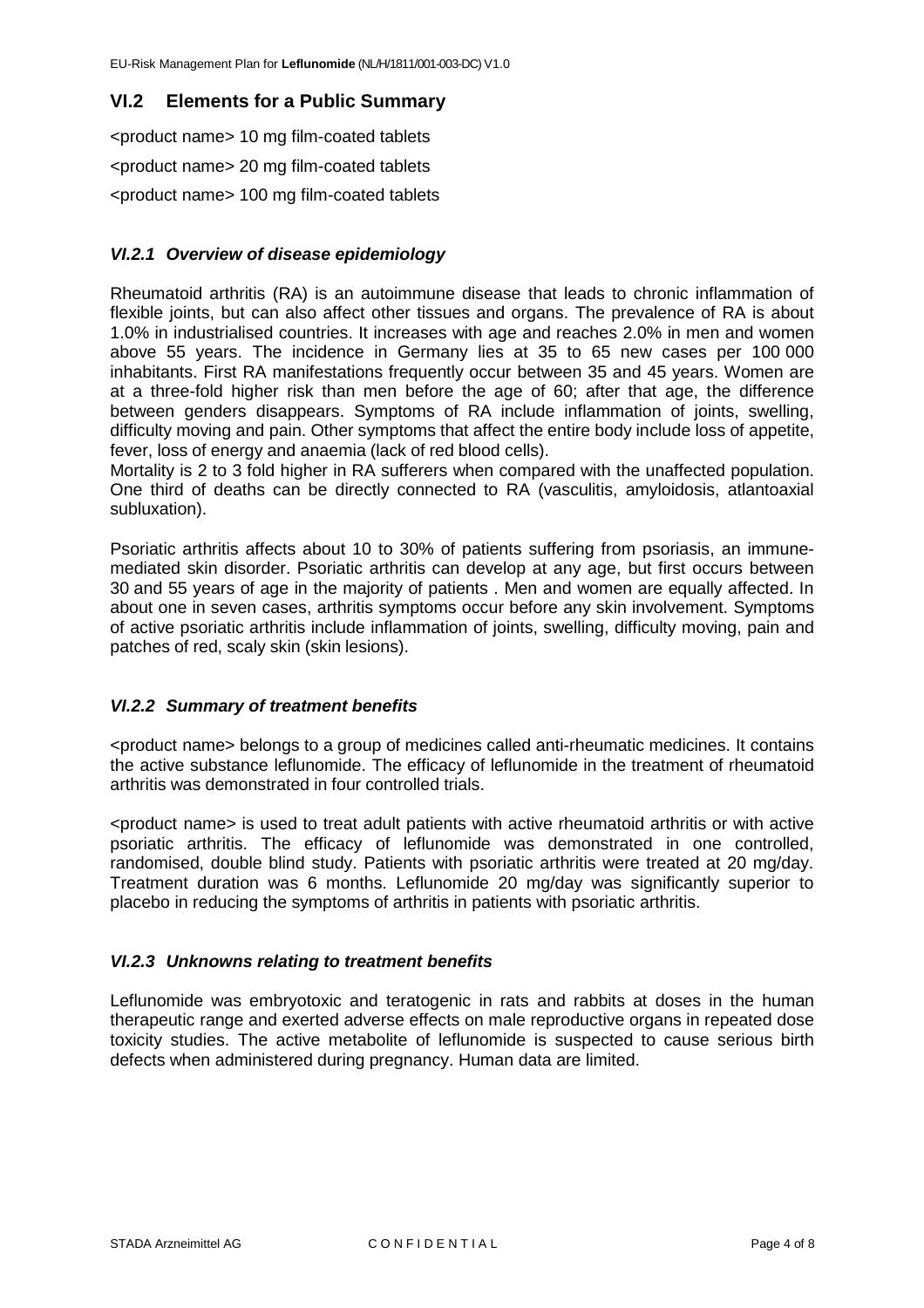#### **VI.2 Elements for a Public Summary**

<product name> 10 mg film-coated tablets <product name> 20 mg film-coated tablets <product name> 100 mg film-coated tablets

#### *VI.2.1 Overview of disease epidemiology*

Rheumatoid arthritis (RA) is an autoimmune disease that leads to chronic inflammation of flexible joints, but can also affect other tissues and organs. The prevalence of RA is about 1.0% in industrialised countries. It increases with age and reaches 2.0% in men and women above 55 years. The incidence in Germany lies at 35 to 65 new cases per 100 000 inhabitants. First RA manifestations frequently occur between 35 and 45 years. Women are at a three-fold higher risk than men before the age of 60; after that age, the difference between genders disappears. Symptoms of RA include inflammation of joints, swelling, difficulty moving and pain. Other symptoms that affect the entire body include loss of appetite, fever, loss of energy and anaemia (lack of red blood cells).

Mortality is 2 to 3 fold higher in RA sufferers when compared with the unaffected population. One third of deaths can be directly connected to RA (vasculitis, amyloidosis, atlantoaxial subluxation).

Psoriatic arthritis affects about 10 to 30% of patients suffering from psoriasis, an immunemediated skin disorder. Psoriatic arthritis can develop at any age, but first occurs between 30 and 55 years of age in the majority of patients . Men and women are equally affected. In about one in seven cases, arthritis symptoms occur before any skin involvement. Symptoms of active psoriatic arthritis include inflammation of joints, swelling, difficulty moving, pain and patches of red, scaly skin (skin lesions).

#### *VI.2.2 Summary of treatment benefits*

<product name> belongs to a group of medicines called anti-rheumatic medicines. It contains the active substance leflunomide. The efficacy of leflunomide in the treatment of rheumatoid arthritis was demonstrated in four controlled trials.

<product name> is used to treat adult patients with active rheumatoid arthritis or with active psoriatic arthritis. The efficacy of leflunomide was demonstrated in one controlled, randomised, double blind study. Patients with psoriatic arthritis were treated at 20 mg/day. Treatment duration was 6 months. Leflunomide 20 mg/day was significantly superior to placebo in reducing the symptoms of arthritis in patients with psoriatic arthritis.

#### *VI.2.3 Unknowns relating to treatment benefits*

Leflunomide was embryotoxic and teratogenic in rats and rabbits at doses in the human therapeutic range and exerted adverse effects on male reproductive organs in repeated dose toxicity studies. The active metabolite of leflunomide is suspected to cause serious birth defects when administered during pregnancy. Human data are limited.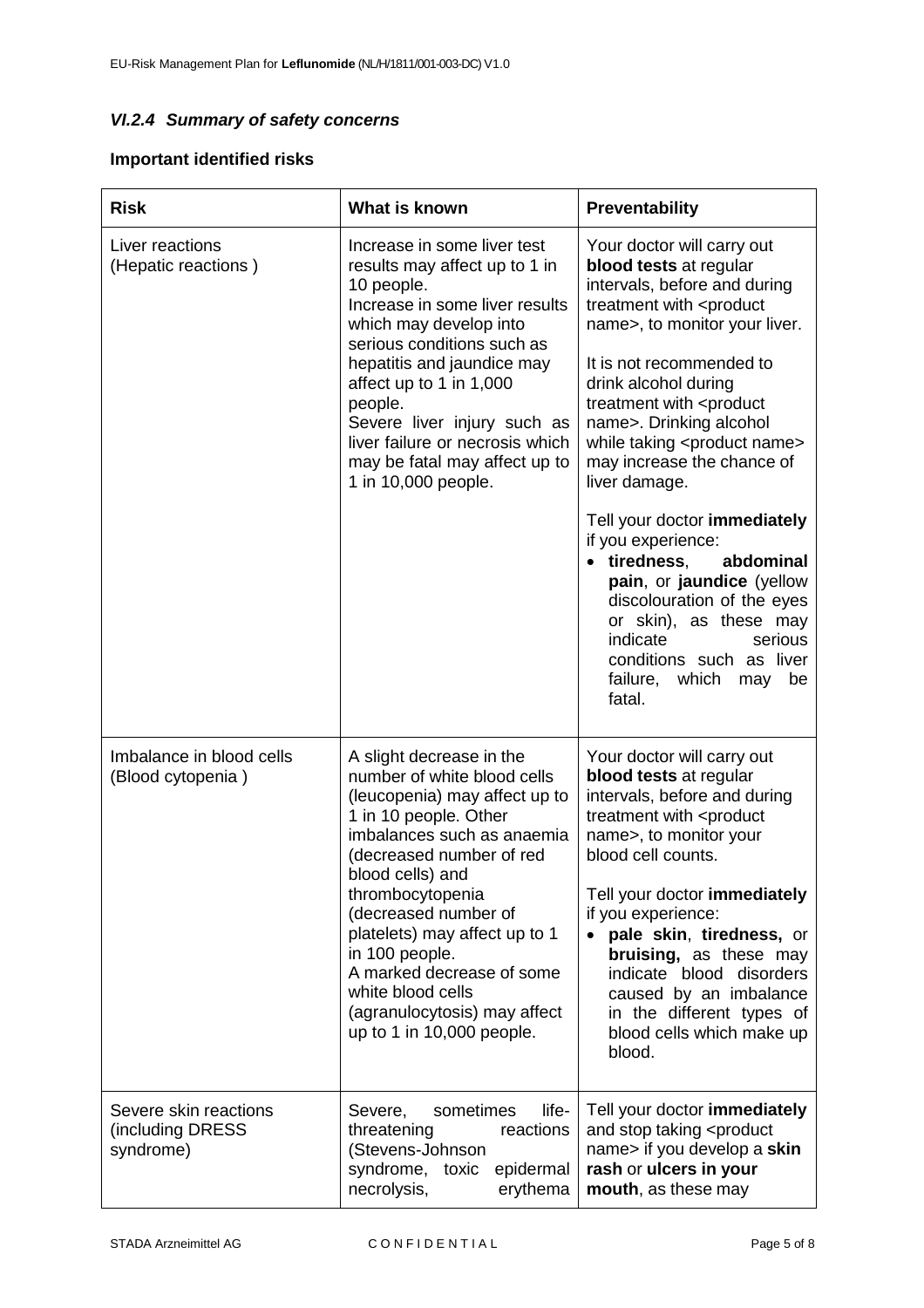### *VI.2.4 Summary of safety concerns*

### **Important identified risks**

| <b>Risk</b>                                            | What is known                                                                                                                                                                                                                                                                                                                                                                                                 | Preventability                                                                                                                                                                                                                                                                                                                                                                                                                  |
|--------------------------------------------------------|---------------------------------------------------------------------------------------------------------------------------------------------------------------------------------------------------------------------------------------------------------------------------------------------------------------------------------------------------------------------------------------------------------------|---------------------------------------------------------------------------------------------------------------------------------------------------------------------------------------------------------------------------------------------------------------------------------------------------------------------------------------------------------------------------------------------------------------------------------|
| Liver reactions<br>(Hepatic reactions)                 | Increase in some liver test<br>results may affect up to 1 in<br>10 people.<br>Increase in some liver results<br>which may develop into<br>serious conditions such as<br>hepatitis and jaundice may<br>affect up to 1 in 1,000<br>people.<br>Severe liver injury such as<br>liver failure or necrosis which<br>may be fatal may affect up to<br>1 in 10,000 people.                                            | Your doctor will carry out<br>blood tests at regular<br>intervals, before and during<br>treatment with <product<br>name&gt;, to monitor your liver.<br/>It is not recommended to<br/>drink alcohol during<br/>treatment with <product<br>name&gt;. Drinking alcohol<br/>while taking <product name=""><br/>may increase the chance of<br/>liver damage.</product></product<br></product<br>                                     |
|                                                        |                                                                                                                                                                                                                                                                                                                                                                                                               | Tell your doctor immediately<br>if you experience:<br>tiredness.<br>abdominal<br>pain, or jaundice (yellow<br>discolouration of the eyes<br>or skin), as these may<br>indicate<br>serious<br>conditions such as liver<br>failure, which may<br>be<br>fatal.                                                                                                                                                                     |
| Imbalance in blood cells<br>(Blood cytopenia)          | A slight decrease in the<br>number of white blood cells<br>(leucopenia) may affect up to<br>1 in 10 people. Other<br>imbalances such as anaemia<br>(decreased number of red<br>blood cells) and<br>thrombocytopenia<br>(decreased number of<br>platelets) may affect up to 1<br>in 100 people.<br>A marked decrease of some<br>white blood cells<br>(agranulocytosis) may affect<br>up to 1 in 10,000 people. | Your doctor will carry out<br>blood tests at regular<br>intervals, before and during<br>treatment with <product<br>name&gt;, to monitor your<br/>blood cell counts.<br/>Tell your doctor immediately<br/>if you experience:<br/>pale skin, tiredness, or<br/>bruising, as these may<br/>indicate blood disorders<br/>caused by an imbalance<br/>in the different types of<br/>blood cells which make up<br/>blood.</product<br> |
| Severe skin reactions<br>(including DRESS<br>syndrome) | life-<br>sometimes<br>Severe,<br>threatening<br>reactions<br>(Stevens-Johnson<br>syndrome, toxic<br>epidermal<br>necrolysis,<br>erythema                                                                                                                                                                                                                                                                      | Tell your doctor immediately<br>and stop taking <product<br>name&gt; if you develop a skin<br/>rash or ulcers in your<br/>mouth, as these may</product<br>                                                                                                                                                                                                                                                                      |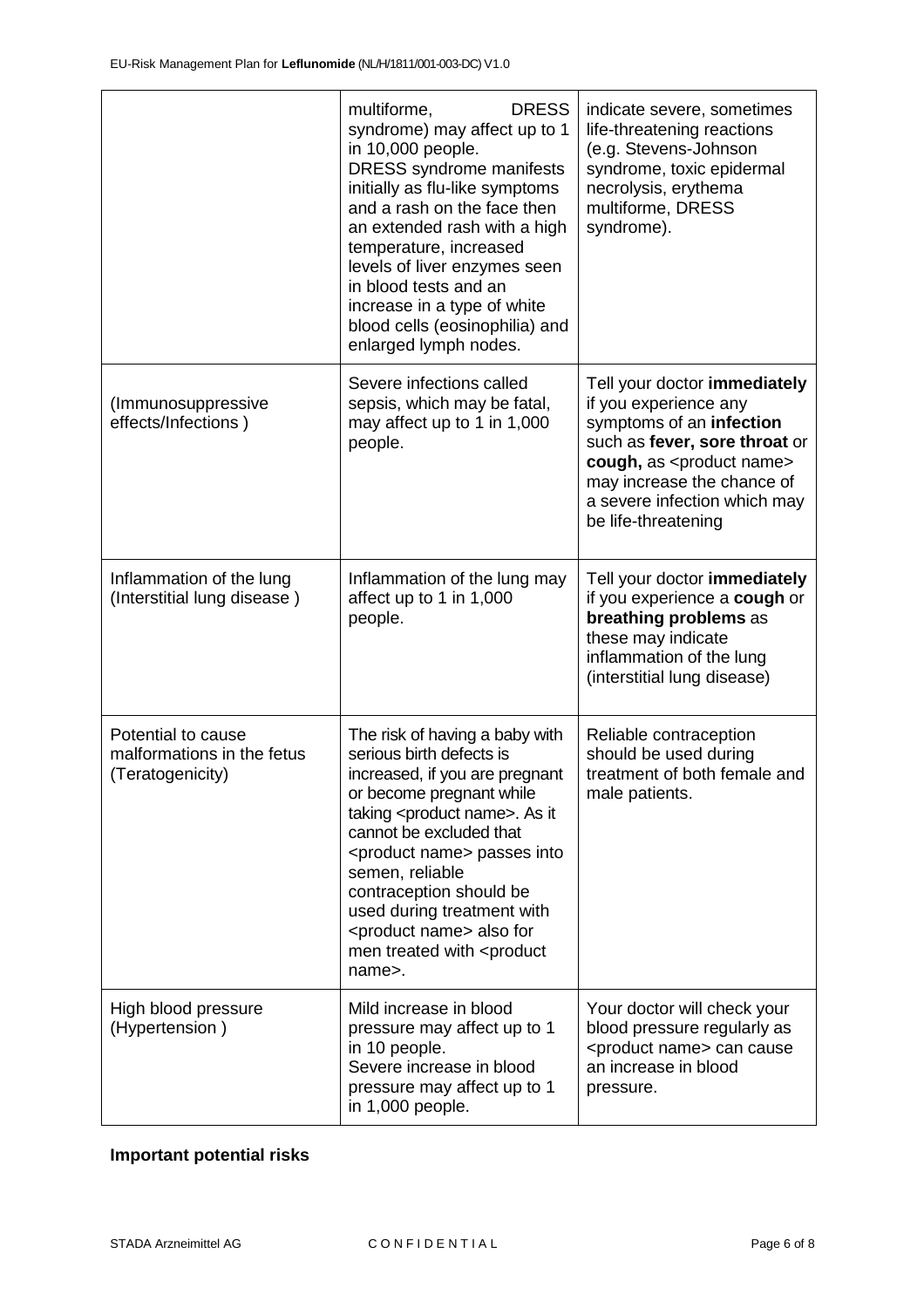|                                                                      | <b>DRESS</b><br>multiforme,<br>syndrome) may affect up to 1<br>in 10,000 people.<br><b>DRESS</b> syndrome manifests<br>initially as flu-like symptoms<br>and a rash on the face then<br>an extended rash with a high<br>temperature, increased<br>levels of liver enzymes seen<br>in blood tests and an<br>increase in a type of white<br>blood cells (eosinophilia) and<br>enlarged lymph nodes.                             | indicate severe, sometimes<br>life-threatening reactions<br>(e.g. Stevens-Johnson<br>syndrome, toxic epidermal<br>necrolysis, erythema<br>multiforme, DRESS<br>syndrome).                                                                           |
|----------------------------------------------------------------------|-------------------------------------------------------------------------------------------------------------------------------------------------------------------------------------------------------------------------------------------------------------------------------------------------------------------------------------------------------------------------------------------------------------------------------|-----------------------------------------------------------------------------------------------------------------------------------------------------------------------------------------------------------------------------------------------------|
| (Immunosuppressive<br>effects/Infections)                            | Severe infections called<br>sepsis, which may be fatal,<br>may affect up to 1 in 1,000<br>people.                                                                                                                                                                                                                                                                                                                             | Tell your doctor immediately<br>if you experience any<br>symptoms of an infection<br>such as fever, sore throat or<br>cough, as <product name=""><br/>may increase the chance of<br/>a severe infection which may<br/>be life-threatening</product> |
| Inflammation of the lung<br>(Interstitial lung disease)              | Inflammation of the lung may<br>affect up to 1 in 1,000<br>people.                                                                                                                                                                                                                                                                                                                                                            | Tell your doctor immediately<br>if you experience a cough or<br>breathing problems as<br>these may indicate<br>inflammation of the lung<br>(interstitial lung disease)                                                                              |
| Potential to cause<br>malformations in the fetus<br>(Teratogenicity) | The risk of having a baby with<br>serious birth defects is<br>increased, if you are pregnant<br>or become pregnant while<br>taking <product name="">. As it<br/>cannot be excluded that<br/><product name=""> passes into<br/>semen, reliable<br/>contraception should be<br/>used during treatment with<br/><product name=""> also for<br/>men treated with <product<br>name&gt;.</product<br></product></product></product> | Reliable contraception<br>should be used during<br>treatment of both female and<br>male patients.                                                                                                                                                   |
| High blood pressure<br>(Hypertension)                                | Mild increase in blood<br>pressure may affect up to 1<br>in 10 people.<br>Severe increase in blood<br>pressure may affect up to 1<br>in 1,000 people.                                                                                                                                                                                                                                                                         | Your doctor will check your<br>blood pressure regularly as<br><product name=""> can cause<br/>an increase in blood<br/>pressure.</product>                                                                                                          |

## **Important potential risks**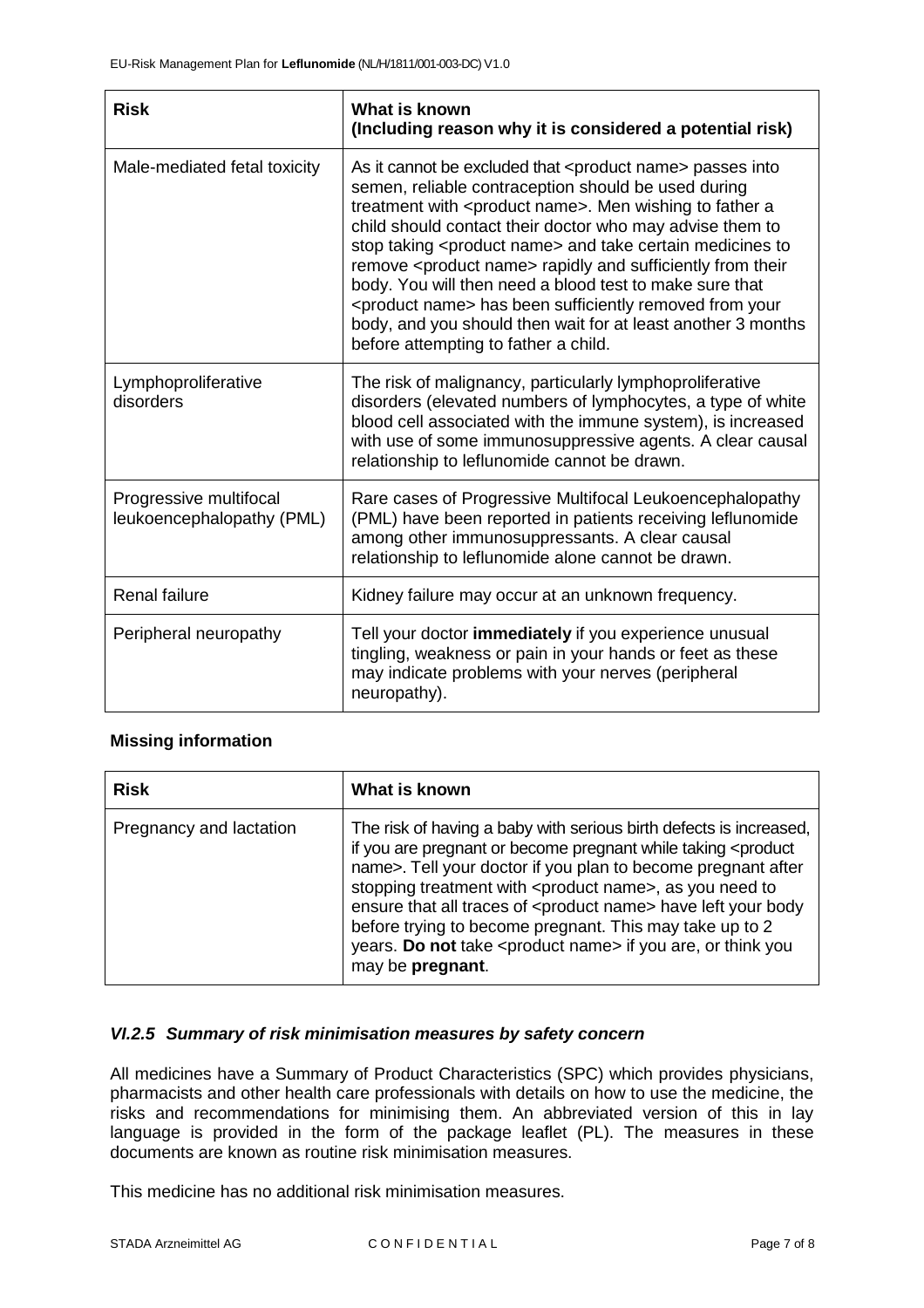| <b>Risk</b>                                         | What is known<br>(Including reason why it is considered a potential risk)                                                                                                                                                                                                                                                                                                                                                                                                                                                                                                                                                                                             |
|-----------------------------------------------------|-----------------------------------------------------------------------------------------------------------------------------------------------------------------------------------------------------------------------------------------------------------------------------------------------------------------------------------------------------------------------------------------------------------------------------------------------------------------------------------------------------------------------------------------------------------------------------------------------------------------------------------------------------------------------|
| Male-mediated fetal toxicity                        | As it cannot be excluded that <product name=""> passes into<br/>semen, reliable contraception should be used during<br/>treatment with <product name="">. Men wishing to father a<br/>child should contact their doctor who may advise them to<br/>stop taking <product name=""> and take certain medicines to<br/>remove <product name=""> rapidly and sufficiently from their<br/>body. You will then need a blood test to make sure that<br/><product name=""> has been sufficiently removed from your<br/>body, and you should then wait for at least another 3 months<br/>before attempting to father a child.</product></product></product></product></product> |
| Lymphoproliferative<br>disorders                    | The risk of malignancy, particularly lymphoproliferative<br>disorders (elevated numbers of lymphocytes, a type of white<br>blood cell associated with the immune system), is increased<br>with use of some immunosuppressive agents. A clear causal<br>relationship to leflunomide cannot be drawn.                                                                                                                                                                                                                                                                                                                                                                   |
| Progressive multifocal<br>leukoencephalopathy (PML) | Rare cases of Progressive Multifocal Leukoencephalopathy<br>(PML) have been reported in patients receiving leflunomide<br>among other immunosuppressants. A clear causal<br>relationship to leflunomide alone cannot be drawn.                                                                                                                                                                                                                                                                                                                                                                                                                                        |
| <b>Renal failure</b>                                | Kidney failure may occur at an unknown frequency.                                                                                                                                                                                                                                                                                                                                                                                                                                                                                                                                                                                                                     |
| Peripheral neuropathy                               | Tell your doctor immediately if you experience unusual<br>tingling, weakness or pain in your hands or feet as these<br>may indicate problems with your nerves (peripheral<br>neuropathy).                                                                                                                                                                                                                                                                                                                                                                                                                                                                             |

#### **Missing information**

| <b>Risk</b>             | What is known                                                                                                                                                                                                                                                                                                                                                                                                                                                                                                                         |
|-------------------------|---------------------------------------------------------------------------------------------------------------------------------------------------------------------------------------------------------------------------------------------------------------------------------------------------------------------------------------------------------------------------------------------------------------------------------------------------------------------------------------------------------------------------------------|
| Pregnancy and lactation | The risk of having a baby with serious birth defects is increased,<br>if you are pregnant or become pregnant while taking <product<br>name&gt;. Tell your doctor if you plan to become pregnant after<br/>stopping treatment with <product name="">, as you need to<br/>ensure that all traces of <product name=""> have left your body<br/>before trying to become pregnant. This may take up to 2<br/>years. Do not take <product name=""> if you are, or think you<br/>may be pregnant.</product></product></product></product<br> |

#### *VI.2.5 Summary of risk minimisation measures by safety concern*

All medicines have a Summary of Product Characteristics (SPC) which provides physicians, pharmacists and other health care professionals with details on how to use the medicine, the risks and recommendations for minimising them. An abbreviated version of this in lay language is provided in the form of the package leaflet (PL). The measures in these documents are known as routine risk minimisation measures.

This medicine has no additional risk minimisation measures.